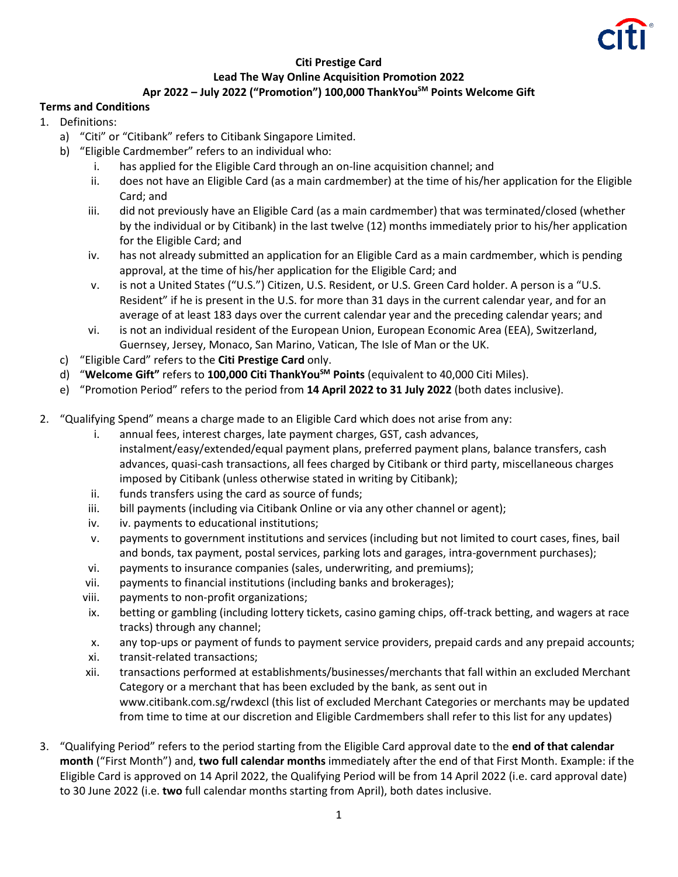

## **Citi Prestige Card Lead The Way Online Acquisition Promotion 2022 Apr 2022 – July 2022 ("Promotion") 100,000 ThankYouSM Points Welcome Gift**

## **Terms and Conditions**

- 1. Definitions:
	- a) "Citi" or "Citibank" refers to Citibank Singapore Limited.
	- b) "Eligible Cardmember" refers to an individual who:
		- i. has applied for the Eligible Card through an on-line acquisition channel; and
		- ii. does not have an Eligible Card (as a main cardmember) at the time of his/her application for the Eligible Card; and
		- iii. did not previously have an Eligible Card (as a main cardmember) that was terminated/closed (whether by the individual or by Citibank) in the last twelve (12) months immediately prior to his/her application for the Eligible Card; and
		- iv. has not already submitted an application for an Eligible Card as a main cardmember, which is pending approval, at the time of his/her application for the Eligible Card; and
		- v. is not a United States ("U.S.") Citizen, U.S. Resident, or U.S. Green Card holder. A person is a "U.S. Resident" if he is present in the U.S. for more than 31 days in the current calendar year, and for an average of at least 183 days over the current calendar year and the preceding calendar years; and
		- vi. is not an individual resident of the European Union, European Economic Area (EEA), Switzerland, Guernsey, Jersey, Monaco, San Marino, Vatican, The Isle of Man or the UK.
	- c) "Eligible Card" refers to the **Citi Prestige Card** only.
	- d) "**Welcome Gift"** refers to **100,000 Citi ThankYouSM Points** (equivalent to 40,000 Citi Miles).
	- e) "Promotion Period" refers to the period from **14 April 2022 to 31 July 2022** (both dates inclusive).
- 2. "Qualifying Spend" means a charge made to an Eligible Card which does not arise from any:
	- i. annual fees, interest charges, late payment charges, GST, cash advances, instalment/easy/extended/equal payment plans, preferred payment plans, balance transfers, cash advances, quasi-cash transactions, all fees charged by Citibank or third party, miscellaneous charges imposed by Citibank (unless otherwise stated in writing by Citibank);
	- ii. funds transfers using the card as source of funds;
	- iii. bill payments (including via Citibank Online or via any other channel or agent);
	- iv. iv. payments to educational institutions;
	- v. payments to government institutions and services (including but not limited to court cases, fines, bail and bonds, tax payment, postal services, parking lots and garages, intra-government purchases);
	- vi. payments to insurance companies (sales, underwriting, and premiums);
	- vii. payments to financial institutions (including banks and brokerages);
	- viii. payments to non-profit organizations;
	- ix. betting or gambling (including lottery tickets, casino gaming chips, off-track betting, and wagers at race tracks) through any channel;
	- x. any top-ups or payment of funds to payment service providers, prepaid cards and any prepaid accounts;
	- xi. transit-related transactions;
	- xii. transactions performed at establishments/businesses/merchants that fall within an excluded Merchant Category or a merchant that has been excluded by the bank, as sent out in www.citibank.com.sg/rwdexcl (this list of excluded Merchant Categories or merchants may be updated from time to time at our discretion and Eligible Cardmembers shall refer to this list for any updates)
- 3. "Qualifying Period" refers to the period starting from the Eligible Card approval date to the **end of that calendar month** ("First Month") and, **two full calendar months** immediately after the end of that First Month. Example: if the Eligible Card is approved on 14 April 2022, the Qualifying Period will be from 14 April 2022 (i.e. card approval date) to 30 June 2022 (i.e. **two** full calendar months starting from April), both dates inclusive.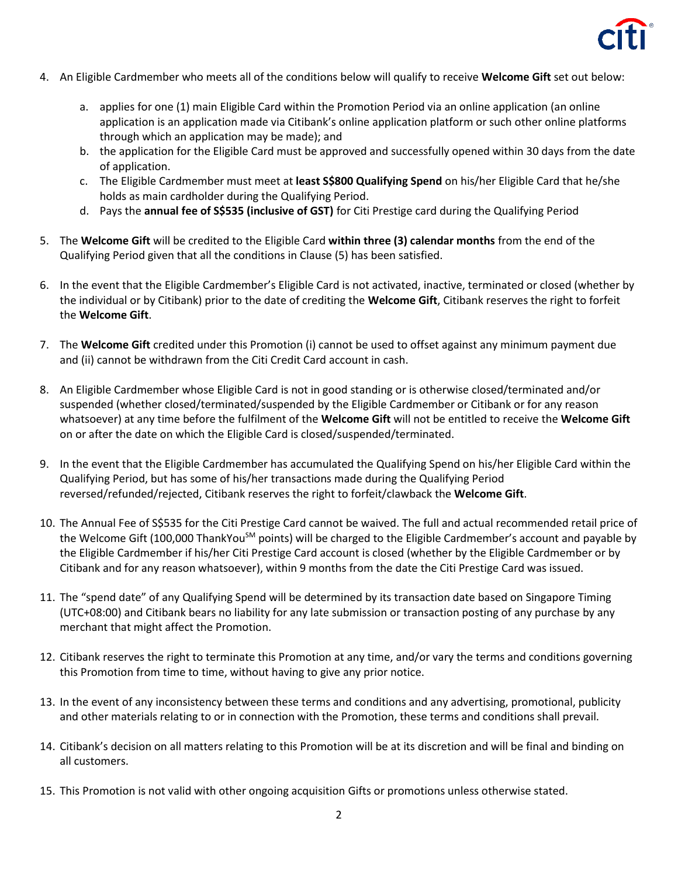

- 4. An Eligible Cardmember who meets all of the conditions below will qualify to receive **Welcome Gift** set out below:
	- a. applies for one (1) main Eligible Card within the Promotion Period via an online application (an online application is an application made via Citibank's online application platform or such other online platforms through which an application may be made); and
	- b. the application for the Eligible Card must be approved and successfully opened within 30 days from the date of application.
	- c. The Eligible Cardmember must meet at **least S\$800 Qualifying Spend** on his/her Eligible Card that he/she holds as main cardholder during the Qualifying Period.
	- d. Pays the **annual fee of S\$535 (inclusive of GST)** for Citi Prestige card during the Qualifying Period
- 5. The **Welcome Gift** will be credited to the Eligible Card **within three (3) calendar months** from the end of the Qualifying Period given that all the conditions in Clause (5) has been satisfied.
- 6. In the event that the Eligible Cardmember's Eligible Card is not activated, inactive, terminated or closed (whether by the individual or by Citibank) prior to the date of crediting the **Welcome Gift**, Citibank reserves the right to forfeit the **Welcome Gift**.
- 7. The **Welcome Gift** credited under this Promotion (i) cannot be used to offset against any minimum payment due and (ii) cannot be withdrawn from the Citi Credit Card account in cash.
- 8. An Eligible Cardmember whose Eligible Card is not in good standing or is otherwise closed/terminated and/or suspended (whether closed/terminated/suspended by the Eligible Cardmember or Citibank or for any reason whatsoever) at any time before the fulfilment of the **Welcome Gift** will not be entitled to receive the **Welcome Gift** on or after the date on which the Eligible Card is closed/suspended/terminated.
- 9. In the event that the Eligible Cardmember has accumulated the Qualifying Spend on his/her Eligible Card within the Qualifying Period, but has some of his/her transactions made during the Qualifying Period reversed/refunded/rejected, Citibank reserves the right to forfeit/clawback the **Welcome Gift**.
- 10. The Annual Fee of S\$535 for the Citi Prestige Card cannot be waived. The full and actual recommended retail price of the Welcome Gift (100,000 ThankYou<sup>SM</sup> points) will be charged to the Eligible Cardmember's account and payable by the Eligible Cardmember if his/her Citi Prestige Card account is closed (whether by the Eligible Cardmember or by Citibank and for any reason whatsoever), within 9 months from the date the Citi Prestige Card was issued.
- 11. The "spend date" of any Qualifying Spend will be determined by its transaction date based on Singapore Timing (UTC+08:00) and Citibank bears no liability for any late submission or transaction posting of any purchase by any merchant that might affect the Promotion.
- 12. Citibank reserves the right to terminate this Promotion at any time, and/or vary the terms and conditions governing this Promotion from time to time, without having to give any prior notice.
- 13. In the event of any inconsistency between these terms and conditions and any advertising, promotional, publicity and other materials relating to or in connection with the Promotion, these terms and conditions shall prevail.
- 14. Citibank's decision on all matters relating to this Promotion will be at its discretion and will be final and binding on all customers.
- 15. This Promotion is not valid with other ongoing acquisition Gifts or promotions unless otherwise stated.